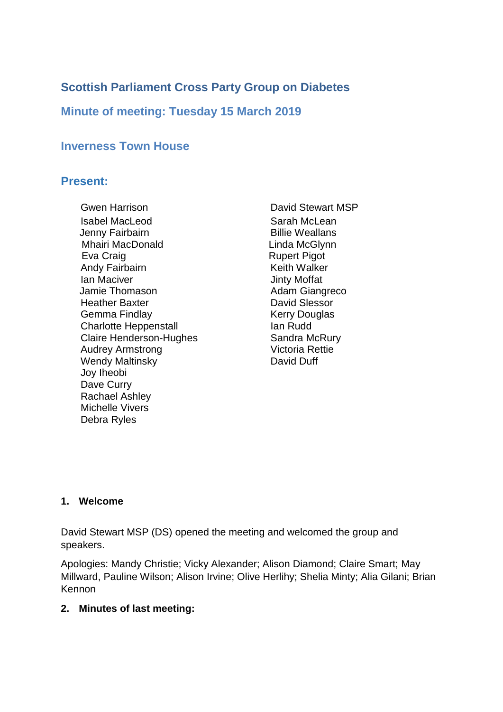# **Scottish Parliament Cross Party Group on Diabetes**

## **Minute of meeting: Tuesday 15 March 2019**

### **Inverness Town House**

### **Present:**

Gwen Harrison **David Stewart MSP** Isabel MacLeod Sarah McLean Jenny Fairbairn **Billie Weallans** Mhairi MacDonald **Linda McGlynn** Eva Craig **Rupert Pigot** Rupert Pigot Andy Fairbairn **Keith Walker** Ian Maciver **Internal Accident Contract Accident** Jinty Moffat Jamie Thomason **Adam Giangreco Heather Baxter Communist Communist Pacific Communist Communist Communist Communist Communist Communist Communist Communist Communist Communist Communist Communist Communist Communist Communist Communist Communist Communis** Gemma Findlay **Kerry Douglas** Charlotte Heppenstall **Ian Rudd** Claire Henderson-Hughes Audrey Armstrong Wendy Maltinsky **David Duff** Joy Iheobi Dave Curry Rachael Ashley Michelle Vivers Debra Ryles

Sandra McRury Victoria Rettie

#### **1. Welcome**

David Stewart MSP (DS) opened the meeting and welcomed the group and speakers.

Apologies: Mandy Christie; Vicky Alexander; Alison Diamond; Claire Smart; May Millward, Pauline Wilson; Alison Irvine; Olive Herlihy; Shelia Minty; Alia Gilani; Brian Kennon

#### **2. Minutes of last meeting:**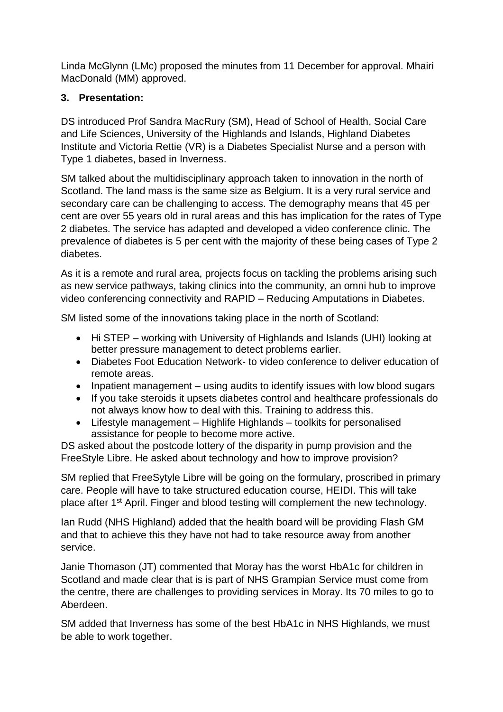Linda McGlynn (LMc) proposed the minutes from 11 December for approval. Mhairi MacDonald (MM) approved.

### **3. Presentation:**

DS introduced Prof Sandra MacRury (SM), Head of School of Health, Social Care and Life Sciences, University of the Highlands and Islands, Highland Diabetes Institute and Victoria Rettie (VR) is a Diabetes Specialist Nurse and a person with Type 1 diabetes, based in Inverness.

SM talked about the multidisciplinary approach taken to innovation in the north of Scotland. The land mass is the same size as Belgium. It is a very rural service and secondary care can be challenging to access. The demography means that 45 per cent are over 55 years old in rural areas and this has implication for the rates of Type 2 diabetes. The service has adapted and developed a video conference clinic. The prevalence of diabetes is 5 per cent with the majority of these being cases of Type 2 diabetes.

As it is a remote and rural area, projects focus on tackling the problems arising such as new service pathways, taking clinics into the community, an omni hub to improve video conferencing connectivity and RAPID – Reducing Amputations in Diabetes.

SM listed some of the innovations taking place in the north of Scotland:

- Hi STEP working with University of Highlands and Islands (UHI) looking at better pressure management to detect problems earlier.
- Diabetes Foot Education Network- to video conference to deliver education of remote areas.
- Inpatient management using audits to identify issues with low blood sugars
- If you take steroids it upsets diabetes control and healthcare professionals do not always know how to deal with this. Training to address this.
- Lifestyle management Highlife Highlands toolkits for personalised assistance for people to become more active.

DS asked about the postcode lottery of the disparity in pump provision and the FreeStyle Libre. He asked about technology and how to improve provision?

SM replied that FreeSytyle Libre will be going on the formulary, proscribed in primary care. People will have to take structured education course, HEIDI. This will take place after 1st April. Finger and blood testing will complement the new technology.

Ian Rudd (NHS Highland) added that the health board will be providing Flash GM and that to achieve this they have not had to take resource away from another service.

Janie Thomason (JT) commented that Moray has the worst HbA1c for children in Scotland and made clear that is is part of NHS Grampian Service must come from the centre, there are challenges to providing services in Moray. Its 70 miles to go to Aberdeen.

SM added that Inverness has some of the best HbA1c in NHS Highlands, we must be able to work together.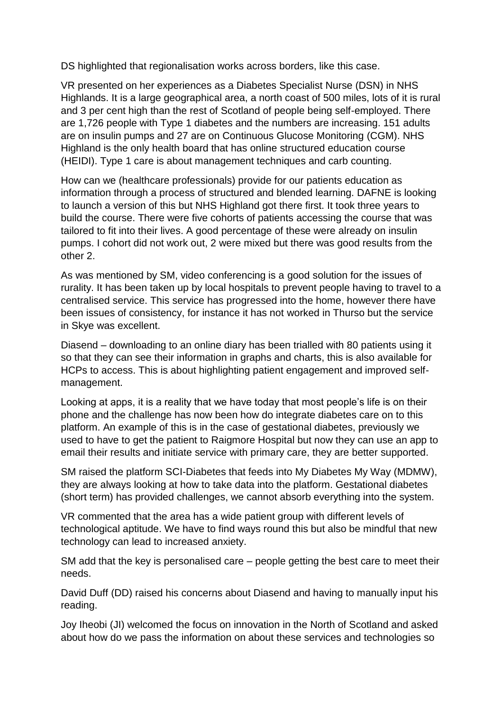DS highlighted that regionalisation works across borders, like this case.

VR presented on her experiences as a Diabetes Specialist Nurse (DSN) in NHS Highlands. It is a large geographical area, a north coast of 500 miles, lots of it is rural and 3 per cent high than the rest of Scotland of people being self-employed. There are 1,726 people with Type 1 diabetes and the numbers are increasing. 151 adults are on insulin pumps and 27 are on Continuous Glucose Monitoring (CGM). NHS Highland is the only health board that has online structured education course (HEIDI). Type 1 care is about management techniques and carb counting.

How can we (healthcare professionals) provide for our patients education as information through a process of structured and blended learning. DAFNE is looking to launch a version of this but NHS Highland got there first. It took three years to build the course. There were five cohorts of patients accessing the course that was tailored to fit into their lives. A good percentage of these were already on insulin pumps. I cohort did not work out, 2 were mixed but there was good results from the other 2.

As was mentioned by SM, video conferencing is a good solution for the issues of rurality. It has been taken up by local hospitals to prevent people having to travel to a centralised service. This service has progressed into the home, however there have been issues of consistency, for instance it has not worked in Thurso but the service in Skye was excellent.

Diasend – downloading to an online diary has been trialled with 80 patients using it so that they can see their information in graphs and charts, this is also available for HCPs to access. This is about highlighting patient engagement and improved selfmanagement.

Looking at apps, it is a reality that we have today that most people's life is on their phone and the challenge has now been how do integrate diabetes care on to this platform. An example of this is in the case of gestational diabetes, previously we used to have to get the patient to Raigmore Hospital but now they can use an app to email their results and initiate service with primary care, they are better supported.

SM raised the platform SCI-Diabetes that feeds into My Diabetes My Way (MDMW), they are always looking at how to take data into the platform. Gestational diabetes (short term) has provided challenges, we cannot absorb everything into the system.

VR commented that the area has a wide patient group with different levels of technological aptitude. We have to find ways round this but also be mindful that new technology can lead to increased anxiety.

SM add that the key is personalised care – people getting the best care to meet their needs.

David Duff (DD) raised his concerns about Diasend and having to manually input his reading.

Joy Iheobi (JI) welcomed the focus on innovation in the North of Scotland and asked about how do we pass the information on about these services and technologies so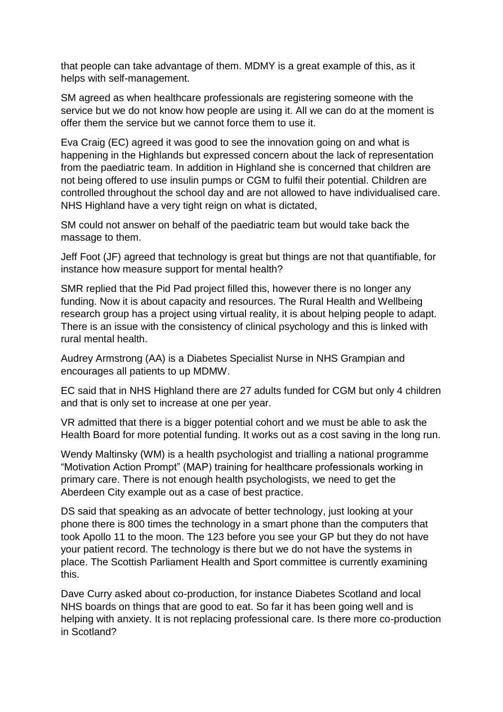that people can take advantage of them. MDMY is a great example of this, as it helps with self-management.

SM agreed as when healthcare professionals are registering someone with the service but we do not know how people are using it. All we can do at the moment is offer them the service but we cannot force them to use it.

Eva Craig (EC) agreed it was good to see the innovation going on and what is happening in the Highlands but expressed concern about the lack of representation from the paediatric team. In addition in Highland she is concerned that children are not being offered to use insulin pumps or CGM to fulfil their potential. Children are controlled throughout the school day and are not allowed to have individualised care. NHS Highland have a very tight reign on what is dictated,

SM could not answer on behalf of the paediatric team but would take back the massage to them.

Jeff Foot (JF) agreed that technology is great but things are not that quantifiable, for instance how measure support for mental health?

SMR replied that the Pid Pad project filled this, however there is no longer any funding. Now it is about capacity and resources. The Rural Health and Wellbeing research group has a project using virtual reality, it is about helping people to adapt. There is an issue with the consistency of clinical psychology and this is linked with rural mental health.

Audrey Armstrong (AA) is a Diabetes Specialist Nurse in NHS Grampian and encourages all patients to up MDMW.

EC said that in NHS Highland there are 27 adults funded for CGM but only 4 children and that is only set to increase at one per year.

VR admitted that there is a bigger potential cohort and we must be able to ask the Health Board for more potential funding. It works out as a cost saving in the long run.

Wendy Maltinsky (WM) is a health psychologist and trialling a national programme "Motivation Action Prompt" (MAP) training for healthcare professionals working in primary care. There is not enough health psychologists, we need to get the Aberdeen City example out as a case of best practice.

DS said that speaking as an advocate of better technology, just looking at your phone there is 800 times the technology in a smart phone than the computers that took Apollo 11 to the moon. The 123 before you see your GP but they do not have your patient record. The technology is there but we do not have the systems in place. The Scottish Parliament Health and Sport committee is currently examining this.

Dave Curry asked about co-production, for instance Diabetes Scotland and local NHS boards on things that are good to eat. So far it has been going well and is helping with anxiety. It is not replacing professional care. Is there more co-production in Scotland?